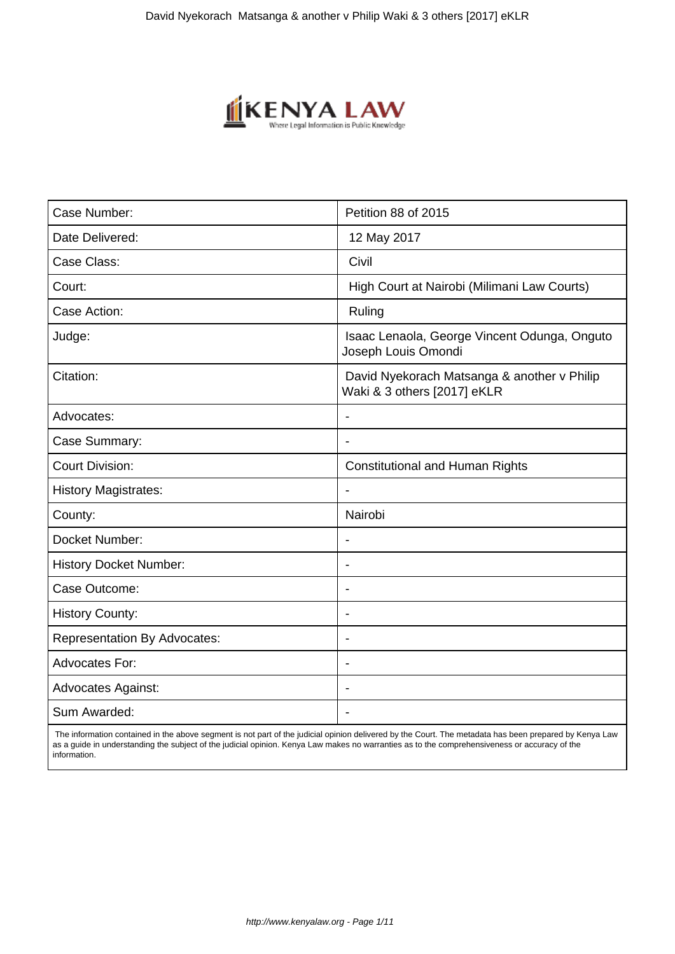

| Case Number:                        | Petition 88 of 2015                                                        |
|-------------------------------------|----------------------------------------------------------------------------|
| Date Delivered:                     | 12 May 2017                                                                |
| Case Class:                         | Civil                                                                      |
| Court:                              | High Court at Nairobi (Milimani Law Courts)                                |
| Case Action:                        | Ruling                                                                     |
| Judge:                              | Isaac Lenaola, George Vincent Odunga, Onguto<br>Joseph Louis Omondi        |
| Citation:                           | David Nyekorach Matsanga & another v Philip<br>Waki & 3 others [2017] eKLR |
| Advocates:                          |                                                                            |
| Case Summary:                       | $\blacksquare$                                                             |
| <b>Court Division:</b>              | <b>Constitutional and Human Rights</b>                                     |
| <b>History Magistrates:</b>         |                                                                            |
| County:                             | Nairobi                                                                    |
| Docket Number:                      | $\blacksquare$                                                             |
| <b>History Docket Number:</b>       |                                                                            |
| Case Outcome:                       |                                                                            |
| <b>History County:</b>              |                                                                            |
| <b>Representation By Advocates:</b> | $\blacksquare$                                                             |
| <b>Advocates For:</b>               | $\overline{\phantom{a}}$                                                   |
| <b>Advocates Against:</b>           | ÷                                                                          |
| Sum Awarded:                        |                                                                            |

 The information contained in the above segment is not part of the judicial opinion delivered by the Court. The metadata has been prepared by Kenya Law as a guide in understanding the subject of the judicial opinion. Kenya Law makes no warranties as to the comprehensiveness or accuracy of the information.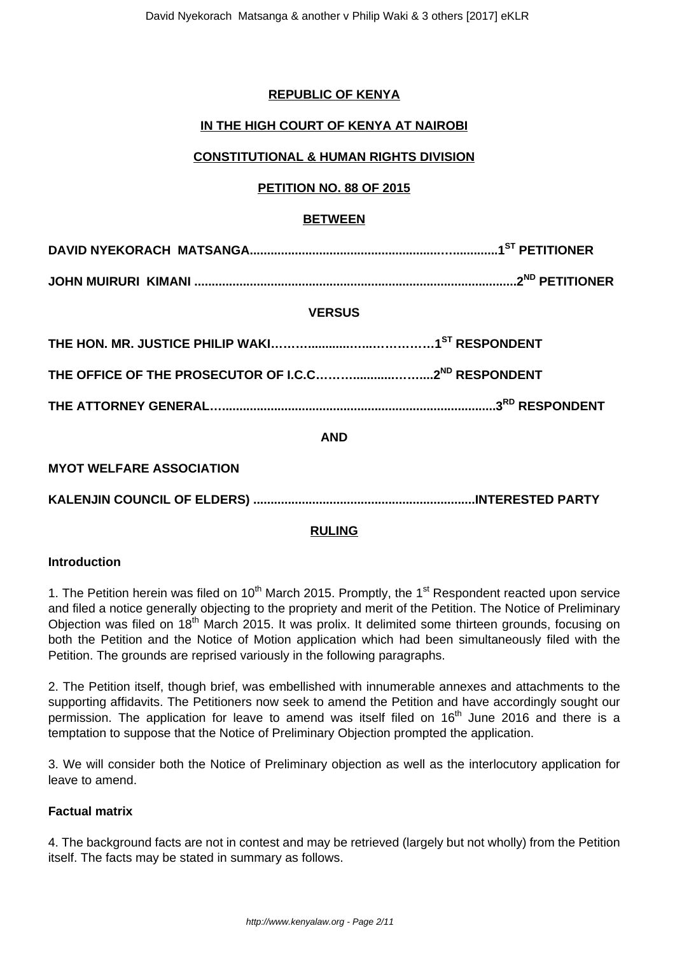# **REPUBLIC OF KENYA**

# **IN THE HIGH COURT OF KENYA AT NAIROBI**

# **CONSTITUTIONAL & HUMAN RIGHTS DIVISION**

## **PETITION NO. 88 OF 2015**

## **BETWEEN**

**DAVID NYEKORACH MATSANGA.......................................................….............1ST PETITIONER**

**JOHN MUIRURI KIMANI .............................................................................................2ND PETITIONER**

## **VERSUS**

| THE ATTORNEY GENERAL……………………………………………………………………………3 <sup>RD</sup> RESPONDENT |  |
|-----------------------------------------------------------------------------|--|

**AND**

**MYOT WELFARE ASSOCIATION**

**KALENJIN COUNCIL OF ELDERS) ................................................................INTERESTED PARTY** 

## **RULING**

#### **Introduction**

1. The Petition herein was filed on 10<sup>th</sup> March 2015. Promptly, the 1<sup>st</sup> Respondent reacted upon service and filed a notice generally objecting to the propriety and merit of the Petition. The Notice of Preliminary Objection was filed on 18<sup>th</sup> March 2015. It was prolix. It delimited some thirteen grounds, focusing on both the Petition and the Notice of Motion application which had been simultaneously filed with the Petition. The grounds are reprised variously in the following paragraphs.

2. The Petition itself, though brief, was embellished with innumerable annexes and attachments to the supporting affidavits. The Petitioners now seek to amend the Petition and have accordingly sought our permission. The application for leave to amend was itself filed on 16<sup>th</sup> June 2016 and there is a temptation to suppose that the Notice of Preliminary Objection prompted the application.

3. We will consider both the Notice of Preliminary objection as well as the interlocutory application for leave to amend.

## **Factual matrix**

4. The background facts are not in contest and may be retrieved (largely but not wholly) from the Petition itself. The facts may be stated in summary as follows.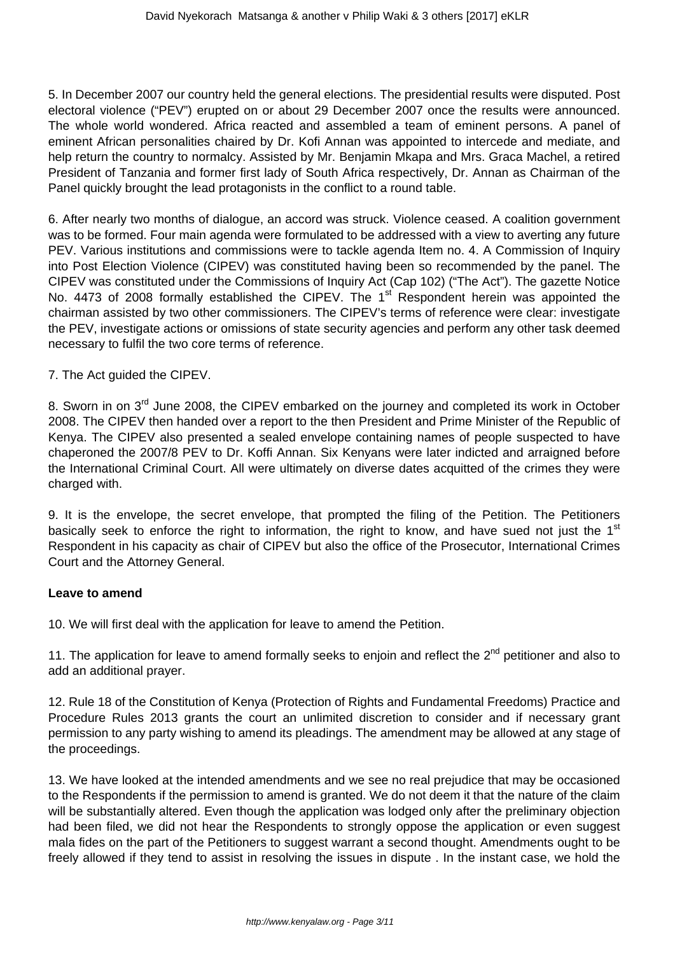5. In December 2007 our country held the general elections. The presidential results were disputed. Post electoral violence ("PEV") erupted on or about 29 December 2007 once the results were announced. The whole world wondered. Africa reacted and assembled a team of eminent persons. A panel of eminent African personalities chaired by Dr. Kofi Annan was appointed to intercede and mediate, and help return the country to normalcy. Assisted by Mr. Benjamin Mkapa and Mrs. Graca Machel, a retired President of Tanzania and former first lady of South Africa respectively, Dr. Annan as Chairman of the Panel quickly brought the lead protagonists in the conflict to a round table.

6. After nearly two months of dialogue, an accord was struck. Violence ceased. A coalition government was to be formed. Four main agenda were formulated to be addressed with a view to averting any future PEV. Various institutions and commissions were to tackle agenda Item no. 4. A Commission of Inquiry into Post Election Violence (CIPEV) was constituted having been so recommended by the panel. The CIPEV was constituted under the Commissions of Inquiry Act (Cap 102) ("The Act"). The gazette Notice No. 4473 of 2008 formally established the CIPEV. The 1<sup>st</sup> Respondent herein was appointed the chairman assisted by two other commissioners. The CIPEV's terms of reference were clear: investigate the PEV, investigate actions or omissions of state security agencies and perform any other task deemed necessary to fulfil the two core terms of reference.

#### 7. The Act guided the CIPEV.

8. Sworn in on 3<sup>rd</sup> June 2008, the CIPEV embarked on the journey and completed its work in October 2008. The CIPEV then handed over a report to the then President and Prime Minister of the Republic of Kenya. The CIPEV also presented a sealed envelope containing names of people suspected to have chaperoned the 2007/8 PEV to Dr. Koffi Annan. Six Kenyans were later indicted and arraigned before the International Criminal Court. All were ultimately on diverse dates acquitted of the crimes they were charged with.

9. It is the envelope, the secret envelope, that prompted the filing of the Petition. The Petitioners basically seek to enforce the right to information, the right to know, and have sued not just the  $1<sup>st</sup>$ Respondent in his capacity as chair of CIPEV but also the office of the Prosecutor, International Crimes Court and the Attorney General.

#### **Leave to amend**

10. We will first deal with the application for leave to amend the Petition.

11. The application for leave to amend formally seeks to enjoin and reflect the 2<sup>nd</sup> petitioner and also to add an additional prayer.

12. Rule 18 of the Constitution of Kenya (Protection of Rights and Fundamental Freedoms) Practice and Procedure Rules 2013 grants the court an unlimited discretion to consider and if necessary grant permission to any party wishing to amend its pleadings. The amendment may be allowed at any stage of the proceedings.

13. We have looked at the intended amendments and we see no real prejudice that may be occasioned to the Respondents if the permission to amend is granted. We do not deem it that the nature of the claim will be substantially altered. Even though the application was lodged only after the preliminary objection had been filed, we did not hear the Respondents to strongly oppose the application or even suggest mala fides on the part of the Petitioners to suggest warrant a second thought. Amendments ought to be freely allowed if they tend to assist in resolving the issues in dispute . In the instant case, we hold the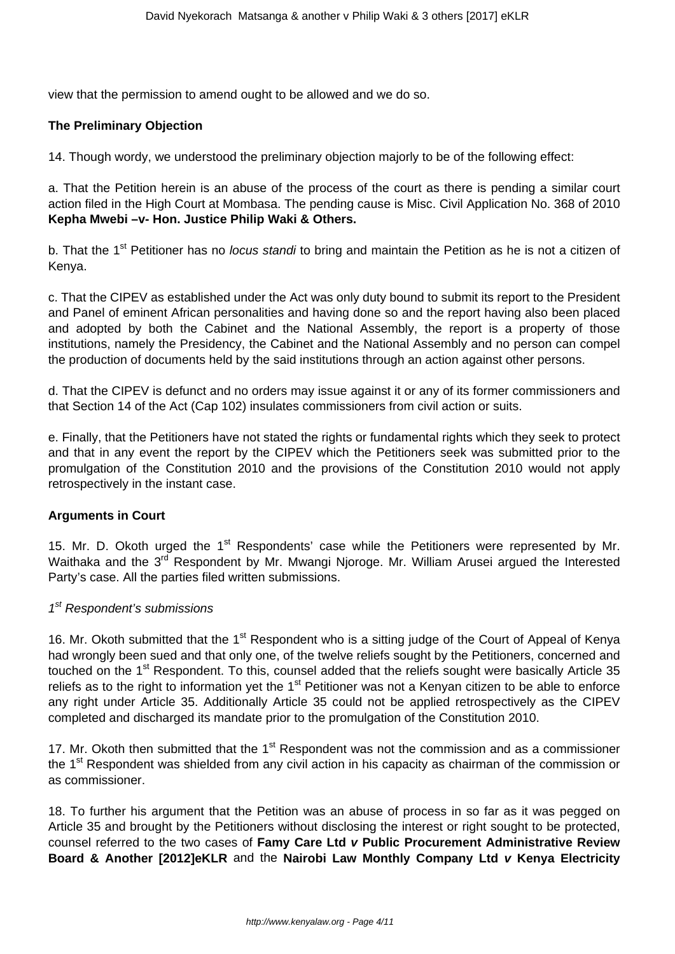view that the permission to amend ought to be allowed and we do so.

## **The Preliminary Objection**

14. Though wordy, we understood the preliminary objection majorly to be of the following effect:

a. That the Petition herein is an abuse of the process of the court as there is pending a similar court action filed in the High Court at Mombasa. The pending cause is Misc. Civil Application No. 368 of 2010 **Kepha Mwebi –v- Hon. Justice Philip Waki & Others.**

b. That the 1<sup>st</sup> Petitioner has no locus standi to bring and maintain the Petition as he is not a citizen of Kenya.

c. That the CIPEV as established under the Act was only duty bound to submit its report to the President and Panel of eminent African personalities and having done so and the report having also been placed and adopted by both the Cabinet and the National Assembly, the report is a property of those institutions, namely the Presidency, the Cabinet and the National Assembly and no person can compel the production of documents held by the said institutions through an action against other persons.

d. That the CIPEV is defunct and no orders may issue against it or any of its former commissioners and that Section 14 of the Act (Cap 102) insulates commissioners from civil action or suits.

e. Finally, that the Petitioners have not stated the rights or fundamental rights which they seek to protect and that in any event the report by the CIPEV which the Petitioners seek was submitted prior to the promulgation of the Constitution 2010 and the provisions of the Constitution 2010 would not apply retrospectively in the instant case.

## **Arguments in Court**

15. Mr. D. Okoth urged the 1<sup>st</sup> Respondents' case while the Petitioners were represented by Mr. Waithaka and the 3<sup>rd</sup> Respondent by Mr. Mwangi Njoroge. Mr. William Arusei argued the Interested Party's case. All the parties filed written submissions.

# 1<sup>st</sup> Respondent's submissions

16. Mr. Okoth submitted that the 1<sup>st</sup> Respondent who is a sitting judge of the Court of Appeal of Kenya had wrongly been sued and that only one, of the twelve reliefs sought by the Petitioners, concerned and touched on the 1<sup>st</sup> Respondent. To this, counsel added that the reliefs sought were basically Article 35 reliefs as to the right to information yet the 1<sup>st</sup> Petitioner was not a Kenyan citizen to be able to enforce any right under Article 35. Additionally Article 35 could not be applied retrospectively as the CIPEV completed and discharged its mandate prior to the promulgation of the Constitution 2010.

17. Mr. Okoth then submitted that the  $1<sup>st</sup>$  Respondent was not the commission and as a commissioner the 1<sup>st</sup> Respondent was shielded from any civil action in his capacity as chairman of the commission or as commissioner.

18. To further his argument that the Petition was an abuse of process in so far as it was pegged on Article 35 and brought by the Petitioners without disclosing the interest or right sought to be protected, counsel referred to the two cases of **Famy Care Ltd v Public Procurement Administrative Review Board & Another [2012]eKLR** and the **Nairobi Law Monthly Company Ltd v Kenya Electricity**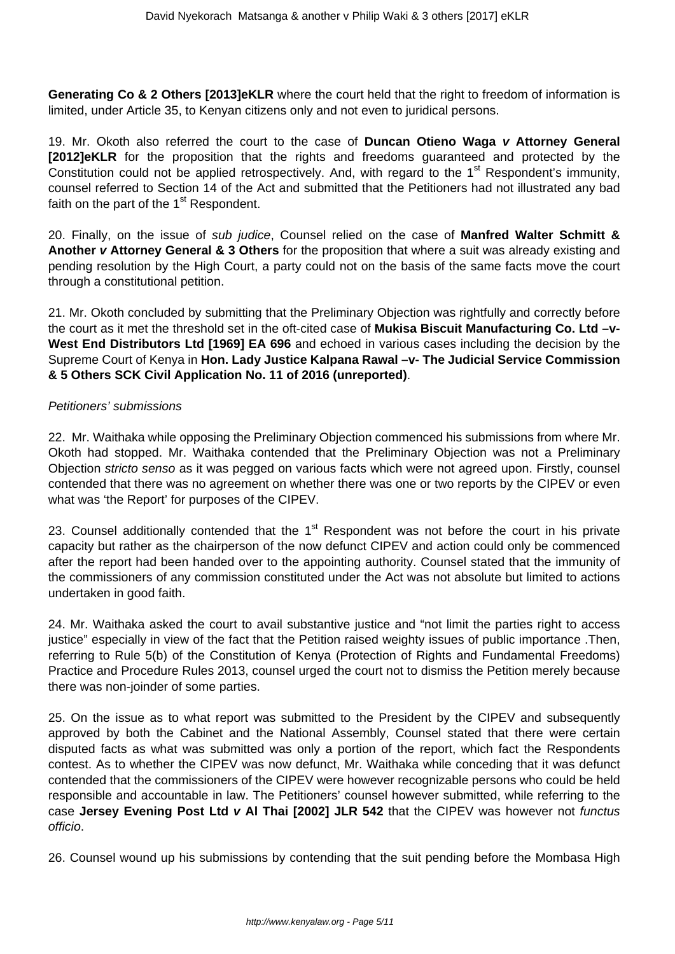**Generating Co & 2 Others [2013]eKLR** where the court held that the right to freedom of information is limited, under Article 35, to Kenyan citizens only and not even to juridical persons.

19. Mr. Okoth also referred the court to the case of **Duncan Otieno Waga v Attorney General [2012]eKLR** for the proposition that the rights and freedoms guaranteed and protected by the Constitution could not be applied retrospectively. And, with regard to the 1<sup>st</sup> Respondent's immunity, counsel referred to Section 14 of the Act and submitted that the Petitioners had not illustrated any bad faith on the part of the  $1<sup>st</sup>$  Respondent.

20. Finally, on the issue of sub judice, Counsel relied on the case of **Manfred Walter Schmitt & Another v Attorney General & 3 Others** for the proposition that where a suit was already existing and pending resolution by the High Court, a party could not on the basis of the same facts move the court through a constitutional petition.

21. Mr. Okoth concluded by submitting that the Preliminary Objection was rightfully and correctly before the court as it met the threshold set in the oft-cited case of **Mukisa Biscuit Manufacturing Co. Ltd –v-West End Distributors Ltd [1969] EA 696** and echoed in various cases including the decision by the Supreme Court of Kenya in **Hon. Lady Justice Kalpana Rawal –v- The Judicial Service Commission & 5 Others SCK Civil Application No. 11 of 2016 (unreported)**.

#### Petitioners' submissions

22. Mr. Waithaka while opposing the Preliminary Objection commenced his submissions from where Mr. Okoth had stopped. Mr. Waithaka contended that the Preliminary Objection was not a Preliminary Objection stricto senso as it was pegged on various facts which were not agreed upon. Firstly, counsel contended that there was no agreement on whether there was one or two reports by the CIPEV or even what was 'the Report' for purposes of the CIPEV.

23. Counsel additionally contended that the  $1<sup>st</sup>$  Respondent was not before the court in his private capacity but rather as the chairperson of the now defunct CIPEV and action could only be commenced after the report had been handed over to the appointing authority. Counsel stated that the immunity of the commissioners of any commission constituted under the Act was not absolute but limited to actions undertaken in good faith.

24. Mr. Waithaka asked the court to avail substantive justice and "not limit the parties right to access justice" especially in view of the fact that the Petition raised weighty issues of public importance .Then, referring to Rule 5(b) of the Constitution of Kenya (Protection of Rights and Fundamental Freedoms) Practice and Procedure Rules 2013, counsel urged the court not to dismiss the Petition merely because there was non-joinder of some parties.

25. On the issue as to what report was submitted to the President by the CIPEV and subsequently approved by both the Cabinet and the National Assembly, Counsel stated that there were certain disputed facts as what was submitted was only a portion of the report, which fact the Respondents contest. As to whether the CIPEV was now defunct, Mr. Waithaka while conceding that it was defunct contended that the commissioners of the CIPEV were however recognizable persons who could be held responsible and accountable in law. The Petitioners' counsel however submitted, while referring to the case **Jersey Evening Post Ltd v Al Thai [2002] JLR 542** that the CIPEV was however not functus officio.

26. Counsel wound up his submissions by contending that the suit pending before the Mombasa High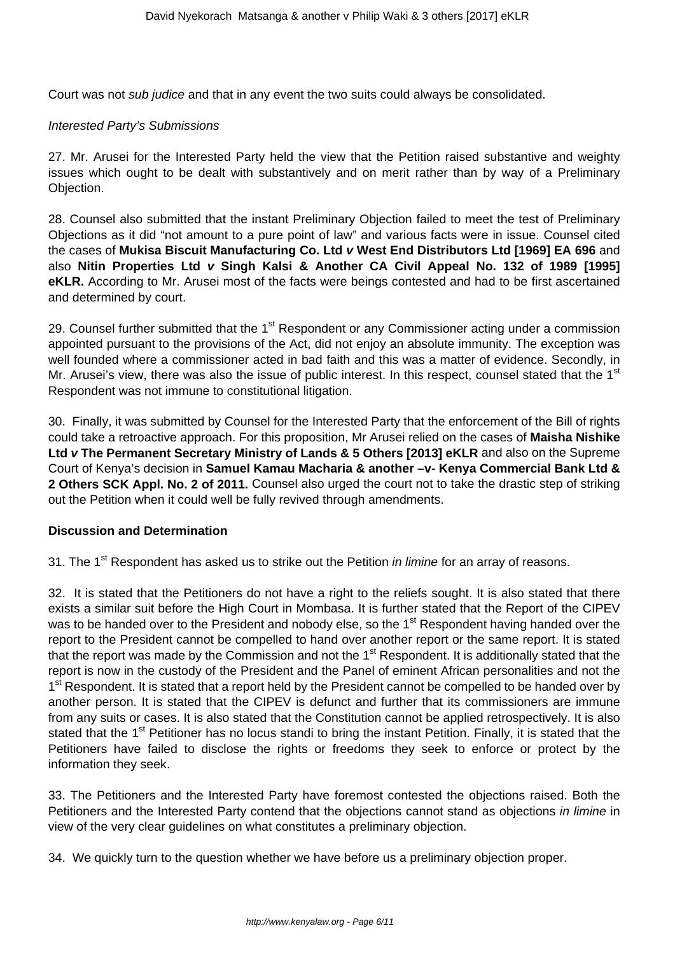Court was not sub judice and that in any event the two suits could always be consolidated.

#### Interested Party's Submissions

27. Mr. Arusei for the Interested Party held the view that the Petition raised substantive and weighty issues which ought to be dealt with substantively and on merit rather than by way of a Preliminary Objection.

28. Counsel also submitted that the instant Preliminary Objection failed to meet the test of Preliminary Objections as it did "not amount to a pure point of law" and various facts were in issue. Counsel cited the cases of **Mukisa Biscuit Manufacturing Co. Ltd v West End Distributors Ltd [1969] EA 696** and also **Nitin Properties Ltd v Singh Kalsi & Another CA Civil Appeal No. 132 of 1989 [1995] eKLR.** According to Mr. Arusei most of the facts were beings contested and had to be first ascertained and determined by court.

29. Counsel further submitted that the  $1<sup>st</sup>$  Respondent or any Commissioner acting under a commission appointed pursuant to the provisions of the Act, did not enjoy an absolute immunity. The exception was well founded where a commissioner acted in bad faith and this was a matter of evidence. Secondly, in Mr. Arusei's view, there was also the issue of public interest. In this respect, counsel stated that the 1<sup>st</sup> Respondent was not immune to constitutional litigation.

30. Finally, it was submitted by Counsel for the Interested Party that the enforcement of the Bill of rights could take a retroactive approach. For this proposition, Mr Arusei relied on the cases of **Maisha Nishike Ltd v The Permanent Secretary Ministry of Lands & 5 Others [2013] eKLR** and also on the Supreme Court of Kenya's decision in **Samuel Kamau Macharia & another –v- Kenya Commercial Bank Ltd & 2 Others SCK Appl. No. 2 of 2011.** Counsel also urged the court not to take the drastic step of striking out the Petition when it could well be fully revived through amendments.

## **Discussion and Determination**

31. The 1<sup>st</sup> Respondent has asked us to strike out the Petition *in limine* for an array of reasons.

32. It is stated that the Petitioners do not have a right to the reliefs sought. It is also stated that there exists a similar suit before the High Court in Mombasa. It is further stated that the Report of the CIPEV was to be handed over to the President and nobody else, so the  $1<sup>st</sup>$  Respondent having handed over the report to the President cannot be compelled to hand over another report or the same report. It is stated that the report was made by the Commission and not the 1<sup>st</sup> Respondent. It is additionally stated that the report is now in the custody of the President and the Panel of eminent African personalities and not the 1<sup>st</sup> Respondent. It is stated that a report held by the President cannot be compelled to be handed over by another person. It is stated that the CIPEV is defunct and further that its commissioners are immune from any suits or cases. It is also stated that the Constitution cannot be applied retrospectively. It is also stated that the 1<sup>st</sup> Petitioner has no locus standi to bring the instant Petition. Finally, it is stated that the Petitioners have failed to disclose the rights or freedoms they seek to enforce or protect by the information they seek.

33. The Petitioners and the Interested Party have foremost contested the objections raised. Both the Petitioners and the Interested Party contend that the objections cannot stand as objections in limine in view of the very clear guidelines on what constitutes a preliminary objection.

34. We quickly turn to the question whether we have before us a preliminary objection proper.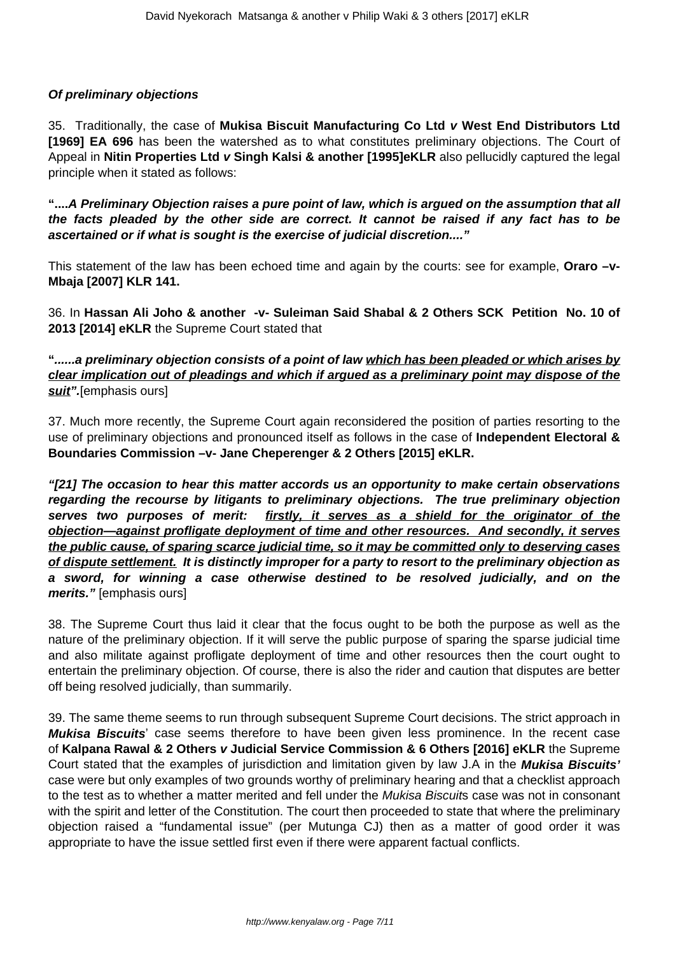## **Of preliminary objections**

35. Traditionally, the case of **Mukisa Biscuit Manufacturing Co Ltd v West End Distributors Ltd [1969] EA 696** has been the watershed as to what constitutes preliminary objections. The Court of Appeal in **Nitin Properties Ltd v Singh Kalsi & another [1995]eKLR** also pellucidly captured the legal principle when it stated as follows:

**"....A Preliminary Objection raises a pure point of law, which is argued on the assumption that all the facts pleaded by the other side are correct. It cannot be raised if any fact has to be ascertained or if what is sought is the exercise of judicial discretion...."**

This statement of the law has been echoed time and again by the courts: see for example, **Oraro –v-Mbaja [2007] KLR 141.**

36. In **Hassan Ali Joho & another -v- Suleiman Said Shabal & 2 Others SCK Petition No. 10 of 2013 [2014] eKLR** the Supreme Court stated that

**"......a preliminary objection consists of a point of law which has been pleaded or which arises by clear implication out of pleadings and which if argued as a preliminary point may dispose of the suit".**[emphasis ours]

37. Much more recently, the Supreme Court again reconsidered the position of parties resorting to the use of preliminary objections and pronounced itself as follows in the case of **Independent Electoral & Boundaries Commission –v- Jane Cheperenger & 2 Others [2015] eKLR.** 

**"[21] The occasion to hear this matter accords us an opportunity to make certain observations regarding the recourse by litigants to preliminary objections. The true preliminary objection serves two purposes of merit: firstly, it serves as a shield for the originator of the objection—against profligate deployment of time and other resources. And secondly, it serves the public cause, of sparing scarce judicial time, so it may be committed only to deserving cases of dispute settlement. It is distinctly improper for a party to resort to the preliminary objection as a sword, for winning a case otherwise destined to be resolved judicially, and on the merits."** [emphasis ours]

38. The Supreme Court thus laid it clear that the focus ought to be both the purpose as well as the nature of the preliminary objection. If it will serve the public purpose of sparing the sparse judicial time and also militate against profligate deployment of time and other resources then the court ought to entertain the preliminary objection. Of course, there is also the rider and caution that disputes are better off being resolved judicially, than summarily.

39. The same theme seems to run through subsequent Supreme Court decisions. The strict approach in **Mukisa Biscuits**' case seems therefore to have been given less prominence. In the recent case of **Kalpana Rawal & 2 Others v Judicial Service Commission & 6 Others [2016] eKLR** the Supreme Court stated that the examples of jurisdiction and limitation given by law J.A in the **Mukisa Biscuits'** case were but only examples of two grounds worthy of preliminary hearing and that a checklist approach to the test as to whether a matter merited and fell under the Mukisa Biscuits case was not in consonant with the spirit and letter of the Constitution. The court then proceeded to state that where the preliminary objection raised a "fundamental issue" (per Mutunga CJ) then as a matter of good order it was appropriate to have the issue settled first even if there were apparent factual conflicts.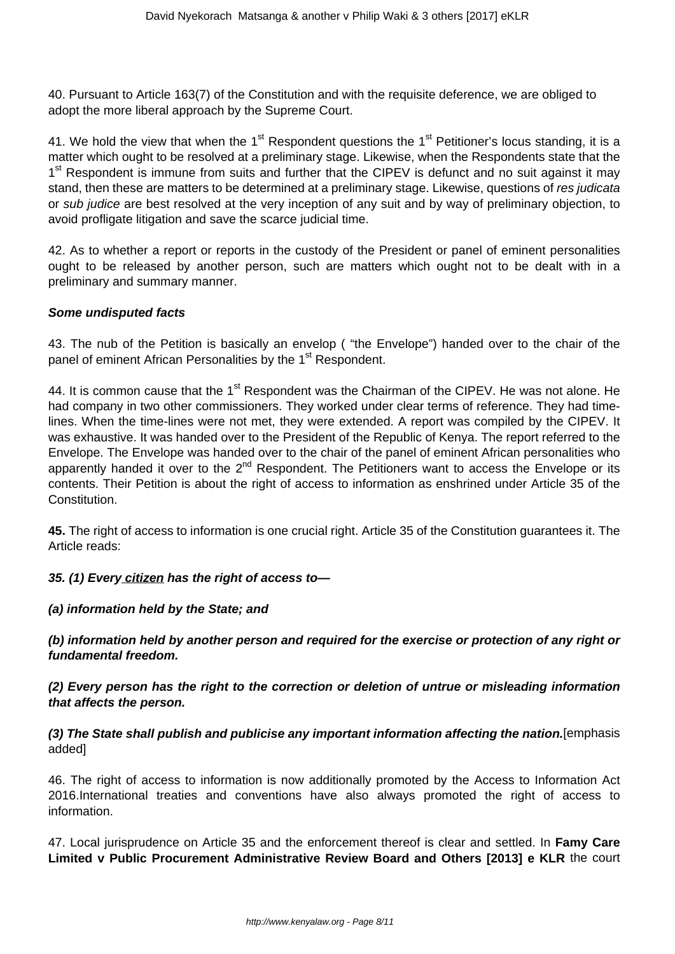40. Pursuant to Article 163(7) of the Constitution and with the requisite deference, we are obliged to adopt the more liberal approach by the Supreme Court.

41. We hold the view that when the 1<sup>st</sup> Respondent questions the 1<sup>st</sup> Petitioner's locus standing, it is a matter which ought to be resolved at a preliminary stage. Likewise, when the Respondents state that the 1<sup>st</sup> Respondent is immune from suits and further that the CIPEV is defunct and no suit against it may stand, then these are matters to be determined at a preliminary stage. Likewise, questions of res judicata or sub judice are best resolved at the very inception of any suit and by way of preliminary objection, to avoid profligate litigation and save the scarce judicial time.

42. As to whether a report or reports in the custody of the President or panel of eminent personalities ought to be released by another person, such are matters which ought not to be dealt with in a preliminary and summary manner.

## **Some undisputed facts**

43. The nub of the Petition is basically an envelop ( "the Envelope") handed over to the chair of the panel of eminent African Personalities by the 1<sup>st</sup> Respondent.

44. It is common cause that the 1<sup>st</sup> Respondent was the Chairman of the CIPEV. He was not alone. He had company in two other commissioners. They worked under clear terms of reference. They had timelines. When the time-lines were not met, they were extended. A report was compiled by the CIPEV. It was exhaustive. It was handed over to the President of the Republic of Kenya. The report referred to the Envelope. The Envelope was handed over to the chair of the panel of eminent African personalities who apparently handed it over to the  $2^{nd}$  Respondent. The Petitioners want to access the Envelope or its contents. Their Petition is about the right of access to information as enshrined under Article 35 of the Constitution.

**45.** The right of access to information is one crucial right. Article 35 of the Constitution guarantees it. The Article reads:

## **35. (1) Every citizen has the right of access to—**

## **(a) information held by the State; and**

**(b) information held by another person and required for the exercise or protection of any right or fundamental freedom.**

**(2) Every person has the right to the correction or deletion of untrue or misleading information that affects the person.**

**(3) The State shall publish and publicise any important information affecting the nation.**[emphasis added]

46. The right of access to information is now additionally promoted by the Access to Information Act 2016.International treaties and conventions have also always promoted the right of access to information.

47. Local jurisprudence on Article 35 and the enforcement thereof is clear and settled. In **Famy Care Limited v Public Procurement Administrative Review Board and Others [2013] e KLR** the court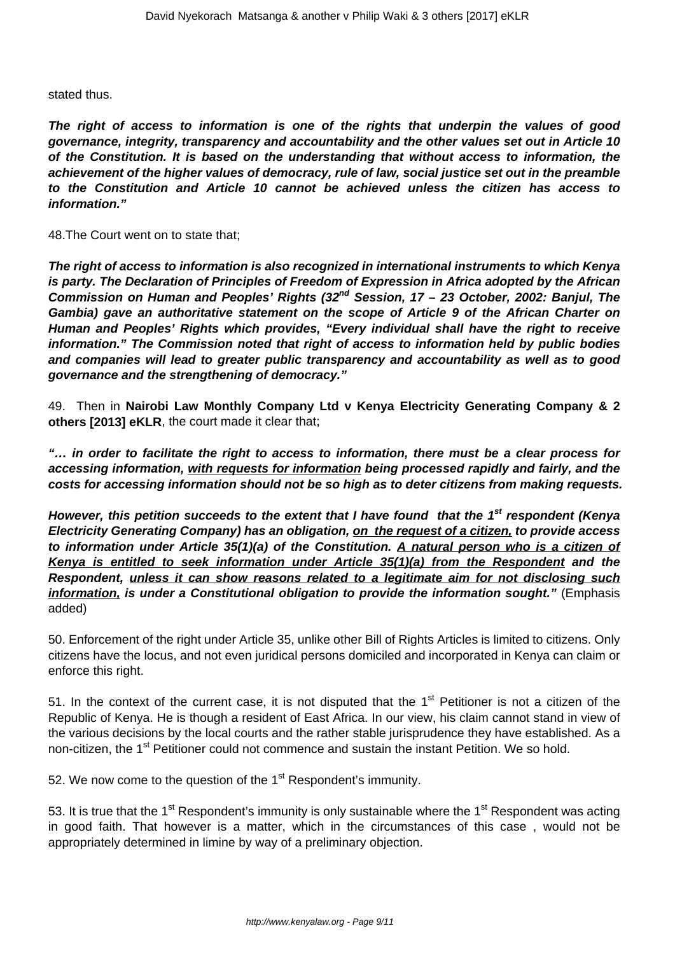stated thus.

**The right of access to information is one of the rights that underpin the values of good governance, integrity, transparency and accountability and the other values set out in Article 10 of the Constitution. It is based on the understanding that without access to information, the achievement of the higher values of democracy, rule of law, social justice set out in the preamble to the Constitution and Article 10 cannot be achieved unless the citizen has access to information."**

48.The Court went on to state that;

**The right of access to information is also recognized in international instruments to which Kenya is party. The Declaration of Principles of Freedom of Expression in Africa adopted by the African Commission on Human and Peoples' Rights (32nd Session, 17 – 23 October, 2002: Banjul, The Gambia) gave an authoritative statement on the scope of Article 9 of the African Charter on Human and Peoples' Rights which provides, "Every individual shall have the right to receive information." The Commission noted that right of access to information held by public bodies and companies will lead to greater public transparency and accountability as well as to good governance and the strengthening of democracy."** 

49. Then in **Nairobi Law Monthly Company Ltd v Kenya Electricity Generating Company & 2 others [2013] eKLR**, the court made it clear that;

**"… in order to facilitate the right to access to information, there must be a clear process for accessing information, with requests for information being processed rapidly and fairly, and the costs for accessing information should not be so high as to deter citizens from making requests.**

**However, this petition succeeds to the extent that I have found that the 1st respondent (Kenya Electricity Generating Company) has an obligation, on the request of a citizen, to provide access to information under Article 35(1)(a) of the Constitution. A natural person who is a citizen of Kenya is entitled to seek information under Article 35(1)(a) from the Respondent and the Respondent, unless it can show reasons related to a legitimate aim for not disclosing such** *information, is under a Constitutional obligation to provide the information sought."* **(Emphasis** added)

50. Enforcement of the right under Article 35, unlike other Bill of Rights Articles is limited to citizens. Only citizens have the locus, and not even juridical persons domiciled and incorporated in Kenya can claim or enforce this right.

51. In the context of the current case, it is not disputed that the  $1<sup>st</sup>$  Petitioner is not a citizen of the Republic of Kenya. He is though a resident of East Africa. In our view, his claim cannot stand in view of the various decisions by the local courts and the rather stable jurisprudence they have established. As a non-citizen, the 1<sup>st</sup> Petitioner could not commence and sustain the instant Petition. We so hold.

52. We now come to the question of the  $1<sup>st</sup>$  Respondent's immunity.

53. It is true that the 1<sup>st</sup> Respondent's immunity is only sustainable where the 1<sup>st</sup> Respondent was acting in good faith. That however is a matter, which in the circumstances of this case , would not be appropriately determined in limine by way of a preliminary objection.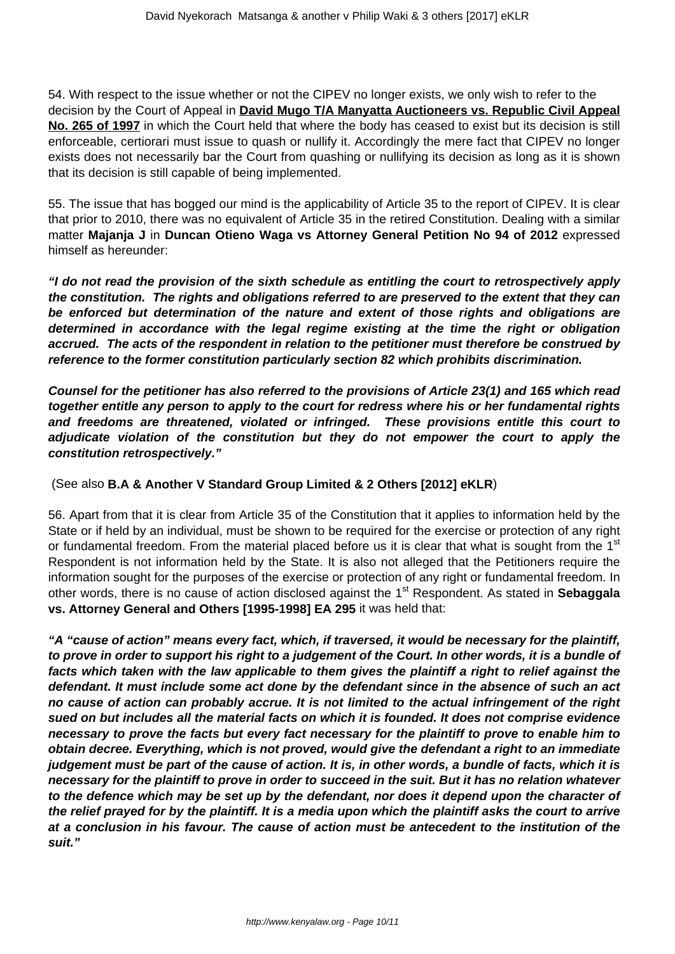54. With respect to the issue whether or not the CIPEV no longer exists, we only wish to refer to the decision by the Court of Appeal in **David Mugo T/A Manyatta Auctioneers vs. Republic Civil Appeal No. 265 of 1997** in which the Court held that where the body has ceased to exist but its decision is still enforceable, certiorari must issue to quash or nullify it. Accordingly the mere fact that CIPEV no longer exists does not necessarily bar the Court from quashing or nullifying its decision as long as it is shown that its decision is still capable of being implemented.

55. The issue that has bogged our mind is the applicability of Article 35 to the report of CIPEV. It is clear that prior to 2010, there was no equivalent of Article 35 in the retired Constitution. Dealing with a similar matter **Majanja J** in **Duncan Otieno Waga vs Attorney General Petition No 94 of 2012** expressed himself as hereunder:

**"I do not read the provision of the sixth schedule as entitling the court to retrospectively apply the constitution. The rights and obligations referred to are preserved to the extent that they can be enforced but determination of the nature and extent of those rights and obligations are determined in accordance with the legal regime existing at the time the right or obligation accrued. The acts of the respondent in relation to the petitioner must therefore be construed by reference to the former constitution particularly section 82 which prohibits discrimination.**

**Counsel for the petitioner has also referred to the provisions of Article 23(1) and 165 which read together entitle any person to apply to the court for redress where his or her fundamental rights and freedoms are threatened, violated or infringed. These provisions entitle this court to adjudicate violation of the constitution but they do not empower the court to apply the constitution retrospectively."**

## (See also **B.A & Another V Standard Group Limited & 2 Others [2012] eKLR**)

56. Apart from that it is clear from Article 35 of the Constitution that it applies to information held by the State or if held by an individual, must be shown to be required for the exercise or protection of any right or fundamental freedom. From the material placed before us it is clear that what is sought from the 1<sup>st</sup> Respondent is not information held by the State. It is also not alleged that the Petitioners require the information sought for the purposes of the exercise or protection of any right or fundamental freedom. In other words, there is no cause of action disclosed against the 1<sup>st</sup> Respondent. As stated in **Sebaggala vs. Attorney General and Others [1995-1998] EA 295** it was held that:

**"A "cause of action" means every fact, which, if traversed, it would be necessary for the plaintiff, to prove in order to support his right to a judgement of the Court. In other words, it is a bundle of facts which taken with the law applicable to them gives the plaintiff a right to relief against the defendant. It must include some act done by the defendant since in the absence of such an act no cause of action can probably accrue. It is not limited to the actual infringement of the right sued on but includes all the material facts on which it is founded. It does not comprise evidence necessary to prove the facts but every fact necessary for the plaintiff to prove to enable him to obtain decree. Everything, which is not proved, would give the defendant a right to an immediate judgement must be part of the cause of action. It is, in other words, a bundle of facts, which it is necessary for the plaintiff to prove in order to succeed in the suit. But it has no relation whatever to the defence which may be set up by the defendant, nor does it depend upon the character of the relief prayed for by the plaintiff. It is a media upon which the plaintiff asks the court to arrive at a conclusion in his favour. The cause of action must be antecedent to the institution of the suit."**